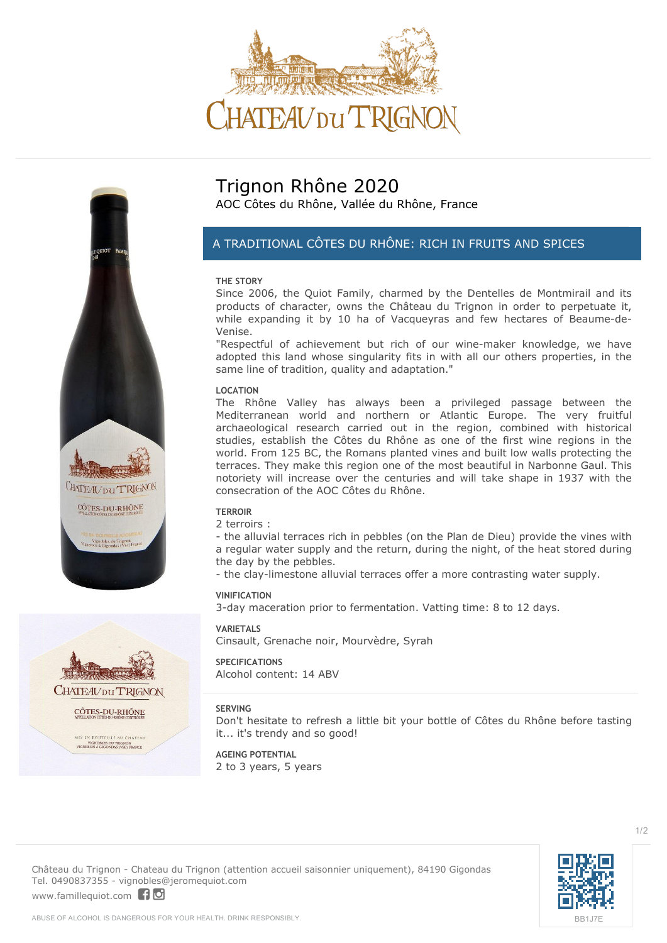



# **Trignon Rhône 2020**

AOC Côtes du Rhône, Vallée du Rhône, France

## *A TRADITIONAL CÔTES DU RHÔNE: RICH IN FRUITS AND SPICES*

#### **THE STORY**

Since 2006, the Quiot Family, charmed by the Dentelles de Montmirail and its products of character, owns the Château du Trignon in order to perpetuate it, while expanding it by 10 ha of Vacqueyras and few hectares of Beaume-de-Venise.

"Respectful of achievement but rich of our wine-maker knowledge, we have adopted this land whose singularity fits in with all our others properties, in the same line of tradition, quality and adaptation."

#### **LOCATION**

The Rhône Valley has always been a privileged passage between the Mediterranean world and northern or Atlantic Europe. The very fruitful archaeological research carried out in the region, combined with historical studies, establish the Côtes du Rhône as one of the first wine regions in the world. From 125 BC, the Romans planted vines and built low walls protecting the terraces. They make this region one of the most beautiful in Narbonne Gaul. This notoriety will increase over the centuries and will take shape in 1937 with the consecration of the AOC Côtes du Rhône.

#### **TERROIR**

2 terroirs :

- the alluvial terraces rich in pebbles (on the Plan de Dieu) provide the vines with a regular water supply and the return, during the night, of the heat stored during the day by the pebbles.

- the clay-limestone alluvial terraces offer a more contrasting water supply.

#### **VINIFICATION**

3-day maceration prior to fermentation. Vatting time: 8 to 12 days.

#### **VARIETALS**

Cinsault, Grenache noir, Mourvèdre, Syrah

#### **SPECIFICATIONS**

Alcohol content: 14 ABV

#### **SERVING**

Don't hesitate to refresh a little bit your bottle of Côtes du Rhône before tasting it... it's trendy and so good!

**AGEING POTENTIAL** 2 to 3 years, 5 years



[BB1J7E](https://vincod.com/BB1J7E)

 $1/2$ 

**Château du Trignon** - Chateau du Trignon (attention accueil saisonnier uniquement), 84190 Gigondas Tel. 0490837355 - vignobles@jeromequiot.com <www.famillequiot.com>| 10

ABUSE OF ALCOHOL IS DANGEROUS FOR YOUR HEALTH. DRINK RESPONSIBLY.